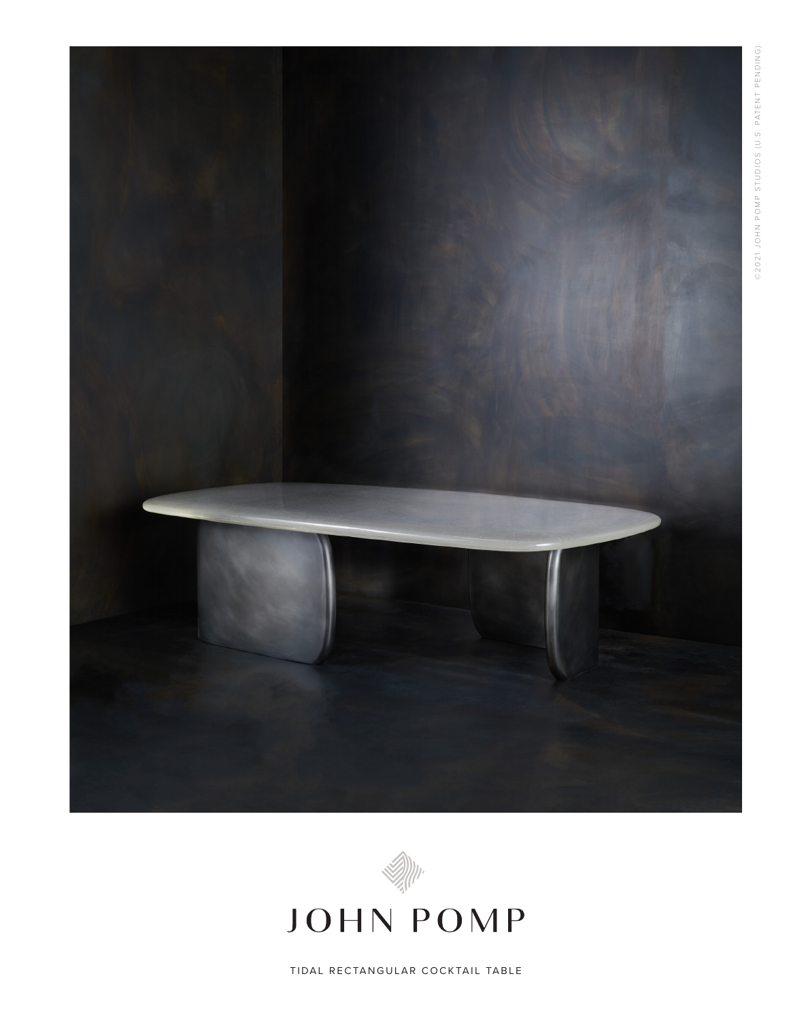



JOHN POMP

TIDAL RECTANGULAR COCKTAIL TABLE